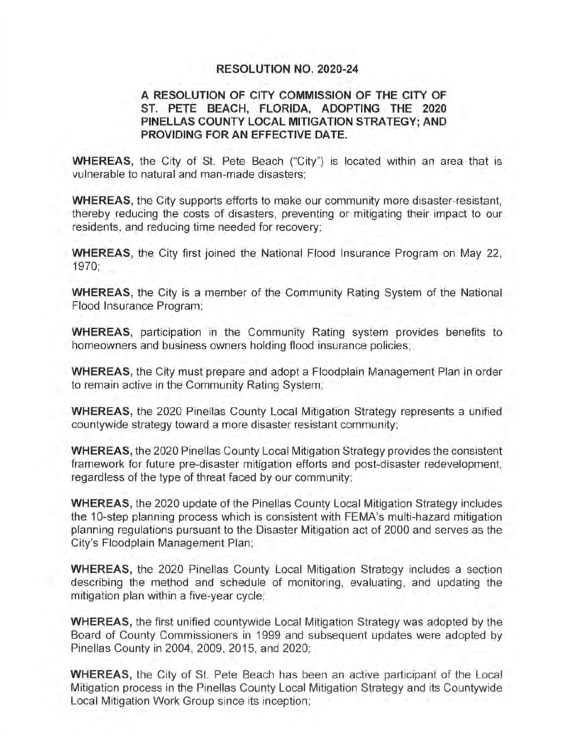## **RESOLUTION NO. 2020-24**

## **A RESOLUTION OF CITY COMMISSION OF THE CITY OF ST. PETE BEACH, FLORIDA, ADOPTING THE 2020 PINELLAS COUNTY LOCAL MITIGATION STRATEGY; AND PROVIDING FOR AN EFFECTIVE DATE.**

**WHEREAS,** the City of St. Pete Beach ("City") is located within an area that is vulnerable to natural and man-made disasters;

**WHEREAS,** the City supports efforts to make our community more disaster-resistant, thereby reducing the costs of disasters, preventing or mitigating their impact to our residents, and reducing time needed for recovery;

**WHEREAS,** the City first joined the National Flood Insurance Program on May 22, 1970;

**WHEREAS,** the City is a member of the Community Rating System of the National Flood Insurance Program;

**WHEREAS,** participation in the Community Rating system provides benefits to homeowners and business owners holding flood insurance policies;

**WHEREAS,** the City must prepare and adopt a Floodplain Management Plan in order to remain active in the Community Rating System;

**WHEREAS,** the 2020 Pinellas County Local Mitigation Strategy represents a unified countywide strategy toward a more disaster resistant community;

**WHEREAS,** the 2020 Pinellas County Local Mitigation Strategy provides the consistent framework for future pre-disaster mitigation efforts and post-disaster redevelopment, regardless of the type of threat faced by our community;

**WHEREAS,** the 2020 update of the Pinellas County Local Mitigation Strategy includes the 10-step planning process which is consistent with FEMA's multi-hazard mitigation planning regulations pursuant to the Disaster Mitigation act of 2000 and serves as the City's Floodplain Management Plan;

**WHEREAS,** the 2020 Pinellas County Local Mitigation Strategy includes a section describing the method and schedule of monitoring, evaluating, and updating the mitigation plan within a five-year cycle;

**WHEREAS,** the first unified countywide Local Mitigation Strategy was adopted by the Board of County Commissioners in 1999 and subsequent updates were adopted by Pinellas County in 2004, 2009, 2015, and 2020;

**WHEREAS,** the City of St. Pete Beach has been an active participant of the Local Mitigation process in the Pinellas County Local Mitigation Strategy and its Countywide Local Mitigation Work Group since its inception;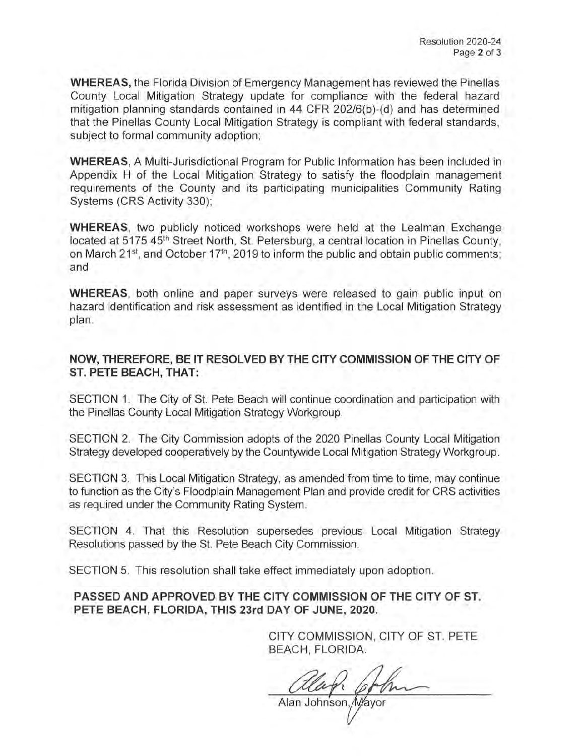**WHEREAS,** the Florida Division of Emergency Management has reviewed the Pinellas County Local Mitigation Strategy update for compliance with the federal hazard mitigation planning standards contained in 44 CFR 202/6(b)-(d) and has determined that the Pinellas County Local Mitigation Strategy is compliant with federal standards, subject to formal community adoption;

**WHEREAS,** A Multi-Jurisdictional Program for Public Information has been included in Appendix H of the Local Mitigation Strategy to satisfy the floodplain management requirements of the County and its participating municipalities Community Rating Systems (CRS Activity 330);

**WHEREAS,** two publicly noticed workshops were held at the Lealman Exchange located at 5175 45<sup>th</sup> Street North, St. Petersburg, a central location in Pinellas County, on March 21<sup>st</sup>, and October 17<sup>th</sup>, 2019 to inform the public and obtain public comments; and

**WHEREAS**, both online and paper surveys were released to gain public input on hazard identification and risk assessment as identified in the Local Mitigation Strategy plan.

**NOW, THEREFORE, BE IT RESOLVED BY THE CITY COMMISSION OF THE CITY OF ST. PETE BEACH, THAT:** 

SECTION 1. The City of St. Pete Beach will continue coordination and participation with the Pinellas County Local Mitigation Strategy Workgroup.

SECTION 2. The City Commission adopts of the 2020 Pinellas County Local Mitigation Strategy developed cooperatively by the Countywide Local Mitigation Strategy Workgroup.

SECTION 3. This Local Mitigation Strategy, as amended from time to time, may continue to function as the City's Floodplain Management Plan and provide credit for CRS activities as required under the Community Rating System.

SECTION 4. That this Resolution supersedes previous Local Mitigation Strategy Resolutions passed by the St. Pete Beach City Commission.

SECTION 5. This resolution shall take effect immediately upon adoption.

**PASSED AND APPROVED BY THE CITY COMMISSION OF THE CITY OF ST. PETE BEACH, FLORIDA, THIS 23rd DAY OF JUNE, 2020.** 

> CITY COMMISSION, CITY OF ST. PETE BEACH, FLORIDA.

Johnson